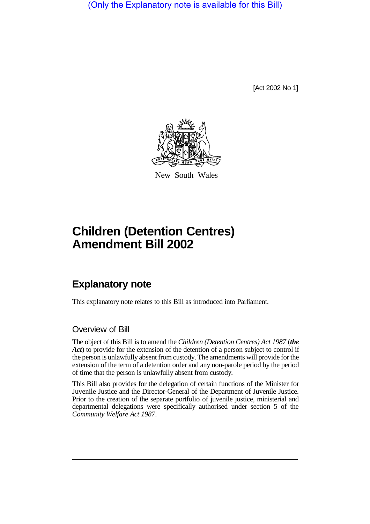(Only the Explanatory note is available for this Bill)

[Act 2002 No 1]



New South Wales

# **Children (Detention Centres) Amendment Bill 2002**

## **Explanatory note**

This explanatory note relates to this Bill as introduced into Parliament.

### Overview of Bill

The object of this Bill is to amend the *Children (Detention Centres) Act 1987* (*the Act*) to provide for the extension of the detention of a person subject to control if the person is unlawfully absent from custody. The amendments will provide for the extension of the term of a detention order and any non-parole period by the period of time that the person is unlawfully absent from custody.

This Bill also provides for the delegation of certain functions of the Minister for Juvenile Justice and the Director-General of the Department of Juvenile Justice. Prior to the creation of the separate portfolio of juvenile justice, ministerial and departmental delegations were specifically authorised under section 5 of the *Community Welfare Act 1987*.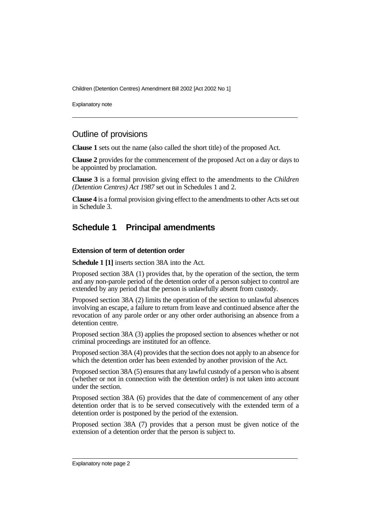Children (Detention Centres) Amendment Bill 2002 [Act 2002 No 1]

Explanatory note

#### Outline of provisions

**Clause 1** sets out the name (also called the short title) of the proposed Act.

**Clause 2** provides for the commencement of the proposed Act on a day or days to be appointed by proclamation.

**Clause 3** is a formal provision giving effect to the amendments to the *Children (Detention Centres) Act 1987* set out in Schedules 1 and 2.

**Clause 4** is a formal provision giving effect to the amendments to other Acts set out in Schedule 3.

## **Schedule 1 Principal amendments**

#### **Extension of term of detention order**

**Schedule 1 [1]** inserts section 38A into the Act.

Proposed section 38A (1) provides that, by the operation of the section, the term and any non-parole period of the detention order of a person subject to control are extended by any period that the person is unlawfully absent from custody.

Proposed section 38A (2) limits the operation of the section to unlawful absences involving an escape, a failure to return from leave and continued absence after the revocation of any parole order or any other order authorising an absence from a detention centre.

Proposed section 38A (3) applies the proposed section to absences whether or not criminal proceedings are instituted for an offence.

Proposed section 38A (4) provides that the section does not apply to an absence for which the detention order has been extended by another provision of the Act.

Proposed section 38A (5) ensures that any lawful custody of a person who is absent (whether or not in connection with the detention order) is not taken into account under the section.

Proposed section 38A (6) provides that the date of commencement of any other detention order that is to be served consecutively with the extended term of a detention order is postponed by the period of the extension.

Proposed section 38A (7) provides that a person must be given notice of the extension of a detention order that the person is subject to.

Explanatory note page 2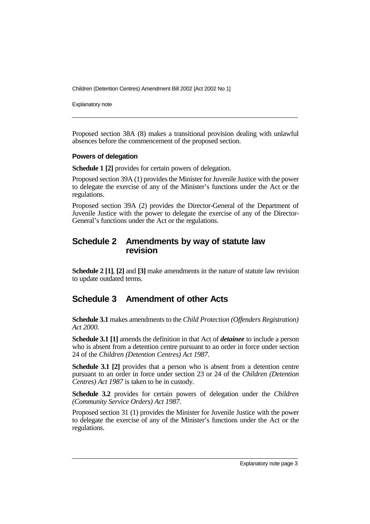Children (Detention Centres) Amendment Bill 2002 [Act 2002 No 1]

Explanatory note

Proposed section 38A (8) makes a transitional provision dealing with unlawful absences before the commencement of the proposed section.

#### **Powers of delegation**

**Schedule 1 [2]** provides for certain powers of delegation.

Proposed section 39A (1) provides the Minister for Juvenile Justice with the power to delegate the exercise of any of the Minister's functions under the Act or the regulations.

Proposed section 39A (2) provides the Director-General of the Department of Juvenile Justice with the power to delegate the exercise of any of the Director-General's functions under the Act or the regulations.

#### **Schedule 2 Amendments by way of statute law revision**

**Schedule 2 [1]**, **[2]** and **[3]** make amendments in the nature of statute law revision to update outdated terms.

#### **Schedule 3 Amendment of other Acts**

**Schedule 3.1** makes amendments to the *Child Protection (Offenders Registration) Act 2000*.

**Schedule 3.1 [1]** amends the definition in that Act of *detainee* to include a person who is absent from a detention centre pursuant to an order in force under section 24 of the *Children (Detention Centres) Act 1987*.

**Schedule 3.1 [2]** provides that a person who is absent from a detention centre pursuant to an order in force under section 23 or 24 of the *Children (Detention Centres) Act 1987* is taken to be in custody.

**Schedule 3.2** provides for certain powers of delegation under the *Children (Community Service Orders) Act 1987*.

Proposed section 31 (1) provides the Minister for Juvenile Justice with the power to delegate the exercise of any of the Minister's functions under the Act or the regulations.